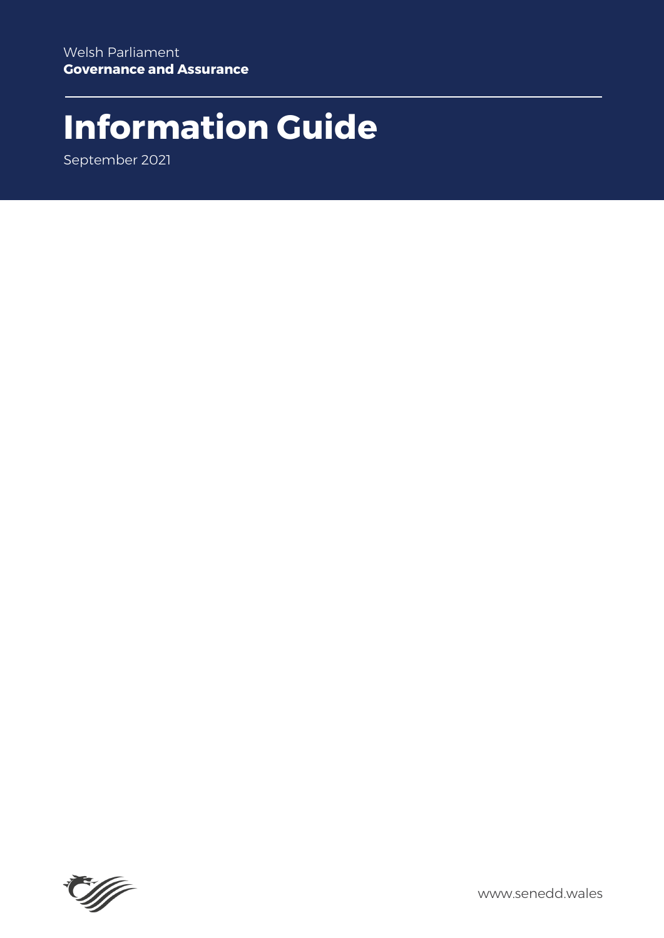# **Information Guide**

September 2021



www.senedd.wales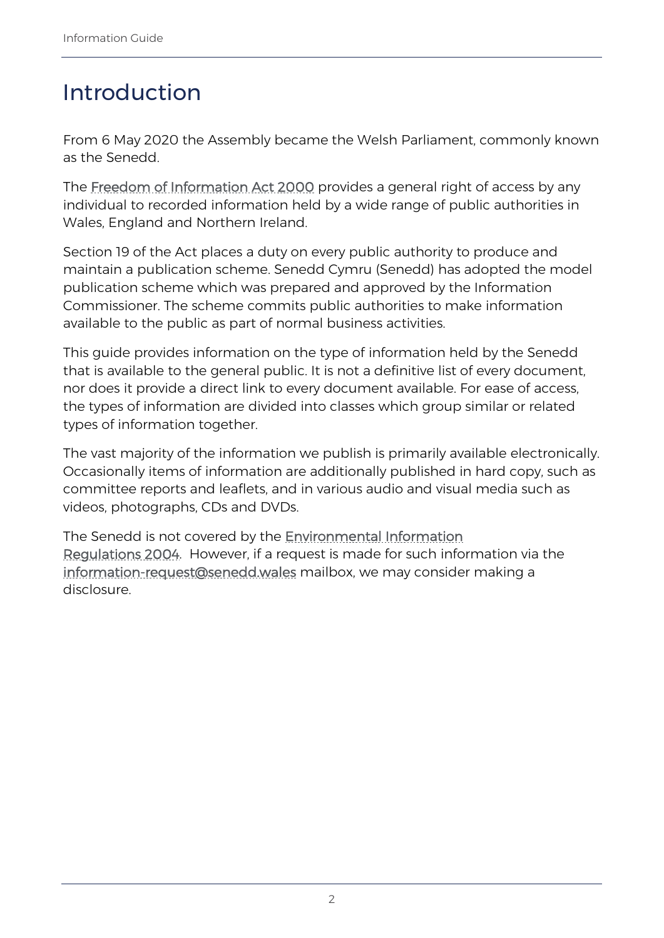# Introduction

From 6 May 2020 the Assembly became the Welsh Parliament, commonly known as the Senedd.

The [Freedom of Information Act 2000](https://www.legislation.gov.uk/ukpga/2000/36/contents) provides a general right of access by any individual to recorded information held by a wide range of public authorities in Wales, England and Northern Ireland.

Section 19 of the Act places a duty on every public authority to produce and maintain a publication scheme. Senedd Cymru (Senedd) has adopted the model publication scheme which was prepared and approved by the Information Commissioner. The scheme commits public authorities to make information available to the public as part of normal business activities.

This guide provides information on the type of information held by the Senedd that is available to the general public. It is not a definitive list of every document, nor does it provide a direct link to every document available. For ease of access, the types of information are divided into classes which group similar or related types of information together.

The vast majority of the information we publish is primarily available electronically. Occasionally items of information are additionally published in hard copy, such as committee reports and leaflets, and in various audio and visual media such as videos, photographs, CDs and DVDs.

The Senedd is not covered by the **Environmental Information** [Regulations 2004.](http://www.opsi.gov.uk/si/si2004/20043391.htm) However, if a request is made for such information via the [information-request@senedd.wales](mailto:information-request@senedd.wales) mailbox, we may consider making a disclosure.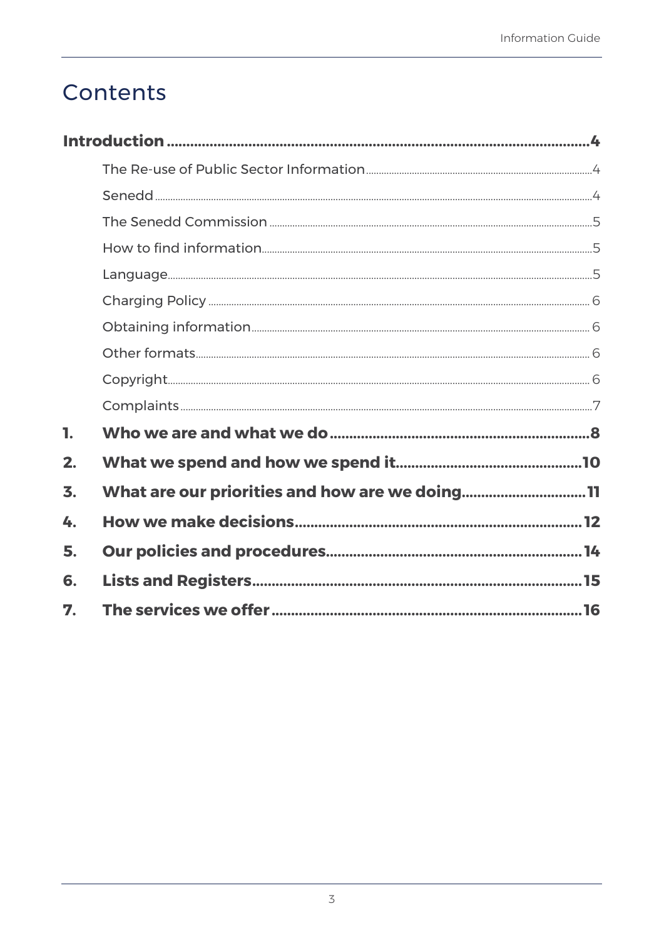# Contents

<span id="page-2-0"></span>

| 1. |                                                |  |
|----|------------------------------------------------|--|
| 2. |                                                |  |
| 3. | What are our priorities and how are we doing11 |  |
| 4. |                                                |  |
| 5. |                                                |  |
| 6. |                                                |  |
| 7. |                                                |  |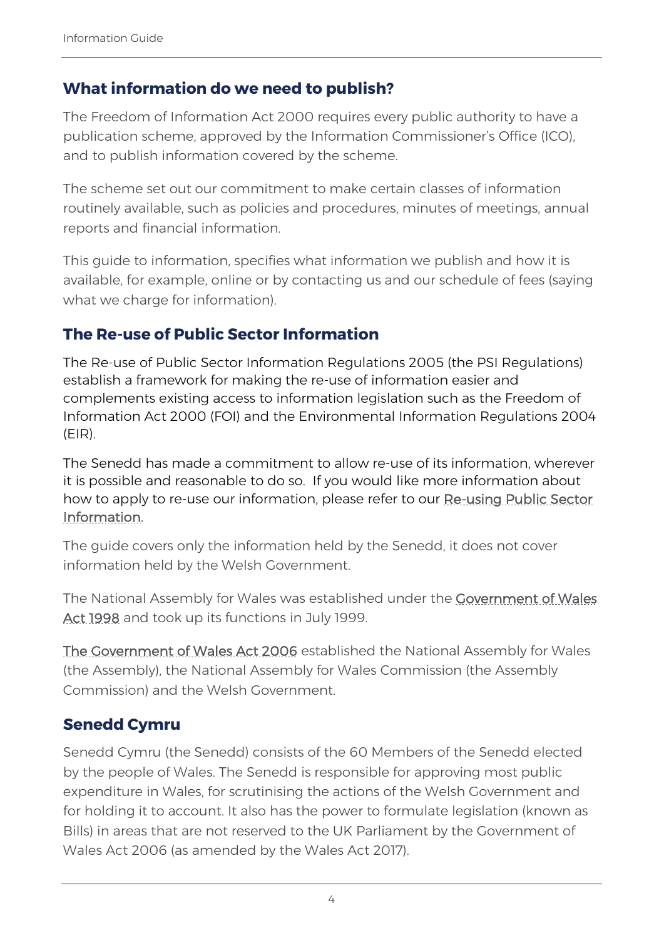### **What information do we need to publish?**

The Freedom of Information Act 2000 requires every public authority to have a publication scheme, approved by the Information Commissioner's Office (ICO), and to publish information covered by the scheme.

The scheme set out our commitment to make certain classes of information routinely available, such as policies and procedures, minutes of meetings, annual reports and financial information.

This guide to information, specifies what information we publish and how it is available, for example, online or by contacting us and our schedule of fees (saying what we charge for information).

### <span id="page-3-0"></span>**The Re-use of Public Sector Information**

The Re-use of Public Sector Information Regulations 2005 (the PSI Regulations) establish a framework for making the re-use of information easier and complements existing access to information legislation such as the Freedom of Information Act 2000 (FOI) and the Environmental Information Regulations 2004 (EIR).

The Senedd has made a commitment to allow re-use of its information, wherever it is possible and reasonable to do so. If you would like more information about how to apply to re-use our information, please refer to our Re-using Public Sector [Information.](https://senedd.wales/commission/access-to-information/re-using-public-sector-information) 

The guide covers only the information held by the Senedd, it does not cover information held by the Welsh Government.

The National Assembly for Wales was established under the Covernment of Wales [Act 1998](http://www.opsi.gov.uk/acts/acts1998/19980038.htm) and took up its functions in July 1999.

[The Government of Wales Act 2006](http://www.opsi.gov.uk/ACTS/acts2006/ukpga_20060032_en.pdf) established the National Assembly for Wales (the Assembly), the National Assembly for Wales Commission (the Assembly Commission) and the Welsh Government.

### <span id="page-3-1"></span>**Senedd Cymru**

Senedd Cymru (the Senedd) consists of the 60 Members of the Senedd elected by the people of Wales. The Senedd is responsible for approving most public expenditure in Wales, for scrutinising the actions of the Welsh Government and for holding it to account. It also has the power to formulate legislation (known as Bills) in areas that are not reserved to the UK Parliament by the Government of Wales Act 2006 (as amended by the Wales Act 2017).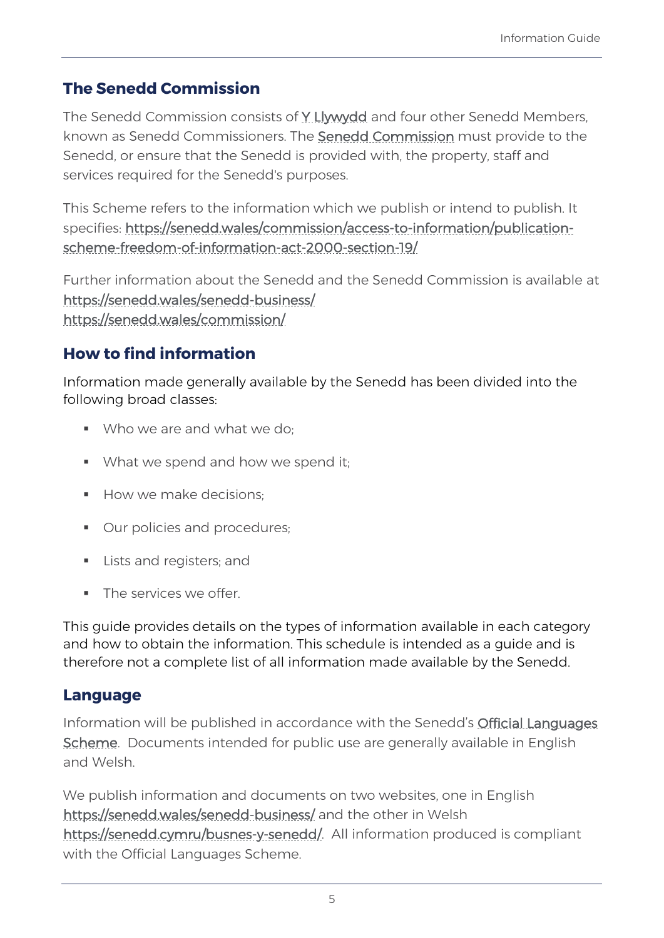# <span id="page-4-0"></span>**The Senedd Commission**

The Senedd Commission consists of [Y Llywydd](https://senedd.wales/senedd-business/llywydd/) and four other Senedd Members, known as Senedd Commissioners. The [Senedd Commission](https://senedd.wales/committee/258) must provide to the Senedd, or ensure that the Senedd is provided with, the property, staff and services required for the Senedd's purposes.

This Scheme refers to the information which we publish or intend to publish. It specifies: [https://senedd.wales/commission/access-to-information/publication](https://senedd.wales/commission/access-to-information/publication-scheme-freedom-of-information-act-2000-section-19/)[scheme-freedom-of-information-act-2000-section-19/](https://senedd.wales/commission/access-to-information/publication-scheme-freedom-of-information-act-2000-section-19/)

Further information about the Senedd and the Senedd Commission is available at <https://senedd.wales/senedd-business/> <https://senedd.wales/commission/>

# <span id="page-4-1"></span>**How to find information**

Information made generally available by the Senedd has been divided into the following broad classes:

- Who we are and what we do:
- What we spend and how we spend it;
- $\blacksquare$  How we make decisions:
- **•** Our policies and procedures;
- **Lists and registers; and**
- **The services we offer.**

This guide provides details on the types of information available in each category and how to obtain the information. This schedule is intended as a guide and is therefore not a complete list of all information made available by the Senedd.

#### <span id="page-4-2"></span>**Language**

Information will be published in accordance with the Senedd's [Official Languages](https://senedd.wales/Laid%20Documents/GEN-LD11101/GEN-LD11101-e.pdf)  [Scheme.](https://senedd.wales/Laid%20Documents/GEN-LD11101/GEN-LD11101-e.pdf) Documents intended for public use are generally available in English and Welsh.

We publish information and documents on two websites, one in English <https://senedd.wales/senedd-business/>and the other in Welsh [https://senedd.cymru/busnes-y-senedd/.](https://senedd.cymru/busnes-y-senedd/) All information produced is compliant with the Official Languages Scheme.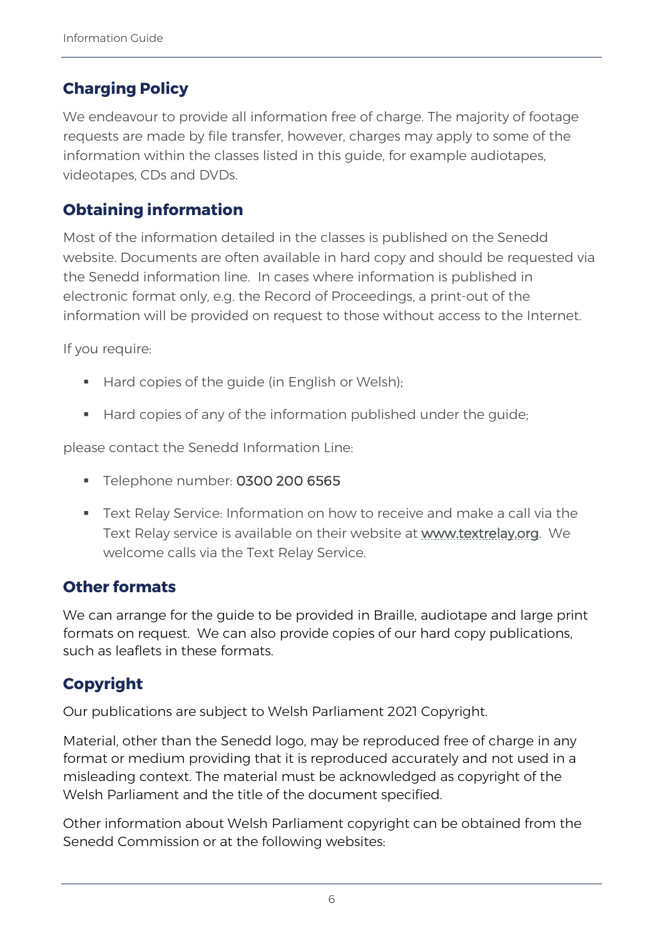# <span id="page-5-0"></span>**Charging Policy**

We endeavour to provide all information free of charge. The majority of footage requests are made by file transfer, however, charges may apply to some of the information within the classes listed in this guide, for example audiotapes, videotapes, CDs and DVDs.

# <span id="page-5-1"></span>**Obtaining information**

Most of the information detailed in the classes is published on the Senedd website. Documents are often available in hard copy and should be requested via the Senedd information line. In cases where information is published in electronic format only, e.g. the Record of Proceedings, a print-out of the information will be provided on request to those without access to the Internet.

If you require:

- Hard copies of the guide (in English or Welsh);
- Hard copies of any of the information published under the quide;

please contact the Senedd Information Line:

- **Telephone number: 0300 200 6565**
- Text Relay Service: Information on how to receive and make a call via the Text Relay service is available on their website at [www.textrelay.org.](http://www.textrelay.org/) We welcome calls via the Text Relay Service.

### <span id="page-5-2"></span>**Other formats**

We can arrange for the guide to be provided in Braille, audiotape and large print formats on request. We can also provide copies of our hard copy publications, such as leaflets in these formats.

# <span id="page-5-3"></span>**Copyright**

Our publications are subject to Welsh Parliament 2021 Copyright.

Material, other than the Senedd logo, may be reproduced free of charge in any format or medium providing that it is reproduced accurately and not used in a misleading context. The material must be acknowledged as copyright of the Welsh Parliament and the title of the document specified.

Other information about Welsh Parliament copyright can be obtained from the Senedd Commission or at the following websites: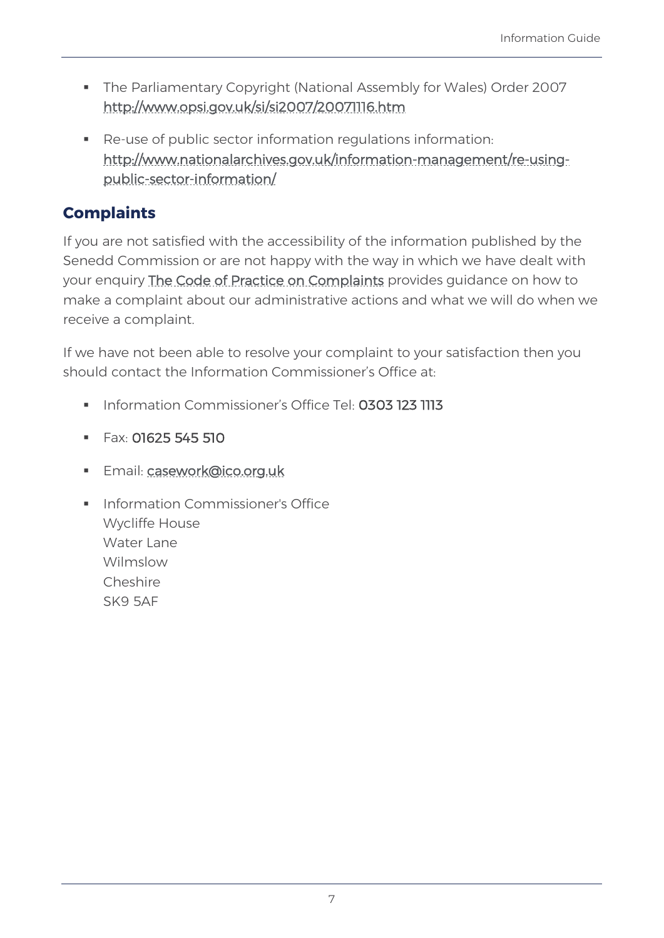- The Parliamentary Copyright (National Assembly for Wales) Order 2007 <http://www.opsi.gov.uk/si/si2007/20071116.htm>
- Re-use of public sector information regulations information: [http://www.nationalarchives.gov.uk/information-management/re-using](http://www.nationalarchives.gov.uk/information-management/re-using-public-sector-information/)[public-sector-information/](http://www.nationalarchives.gov.uk/information-management/re-using-public-sector-information/)

# <span id="page-6-0"></span>**Complaints**

If you are not satisfied with the accessibility of the information published by the Senedd Commission or are not happy with the way in which we have dealt with your enquiry [The Code of Practice on Complaints](https://senedd.wales/media/y1hbi4sc/complaints-policy-final_may_2017_sv2.pdf) provides guidance on how to make a complaint about our administrative actions and what we will do when we receive a complaint.

If we have not been able to resolve your complaint to your satisfaction then you should contact the Information Commissioner's Office at:

- Information Commissioner's Office Tel: 0303 123 1113
- $F$ ax: 01625 545 510
- Email: [casework@ico.org.uk](mailto:casework@ico.org.uk)
- **Information Commissioner's Office** Wycliffe House Water Lane Wilmslow Cheshire SK9 5AF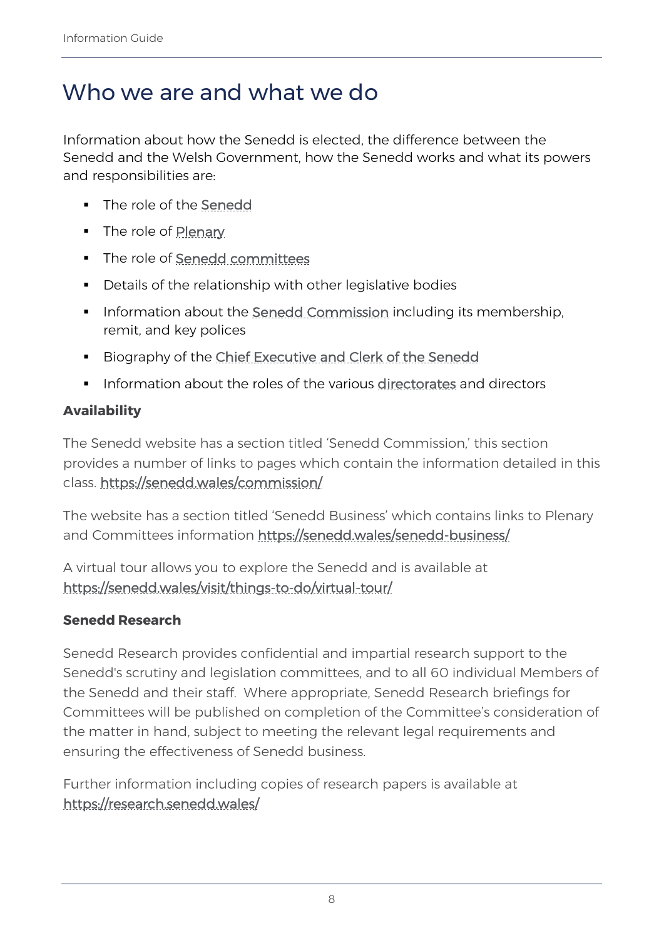# <span id="page-7-0"></span>Who we are and what we do

Information about how the Senedd is elected, the difference between the Senedd and the Welsh Government, how the Senedd works and what its powers and responsibilities are:

- **The role of the [Senedd](https://senedd.wales/senedd-business/)**
- **The role of [Plenary](https://senedd.wales/senedd-business/plenary/)**
- The role of [Senedd committees](https://senedd.wales/senedd-business/committees/)
- Details of the relationship with other legislative bodies
- **Information about the [Senedd Commission](https://senedd.wales/commission/) including its membership,** remit, and key polices
- Biography of the [Chief Executive and Clerk of the Senedd](https://senedd.wales/commission/chief-executive-and-clerk-of-the-senedd/)
- **Information about the roles of the various [directorates](https://senedd.wales/commission/organisational-structure-and-responsibilities/) and directors**

### **Availability**

The Senedd website has a section titled 'Senedd Commission,' this section provides a number of links to pages which contain the information detailed in this class.<https://senedd.wales/commission/>

The website has a section titled 'Senedd Business' which contains links to Plenary and Committees information<https://senedd.wales/senedd-business/>

A virtual tour allows you to explore the Senedd and is available at <https://senedd.wales/visit/things-to-do/virtual-tour/>

#### **Senedd Research**

Senedd Research provides confidential and impartial research support to the Senedd's scrutiny and legislation committees, and to all 60 individual Members of the Senedd and their staff. Where appropriate, Senedd Research briefings for Committees will be published on completion of the Committee's consideration of the matter in hand, subject to meeting the relevant legal requirements and ensuring the effectiveness of Senedd business.

Further information including copies of research papers is available at <https://research.senedd.wales/>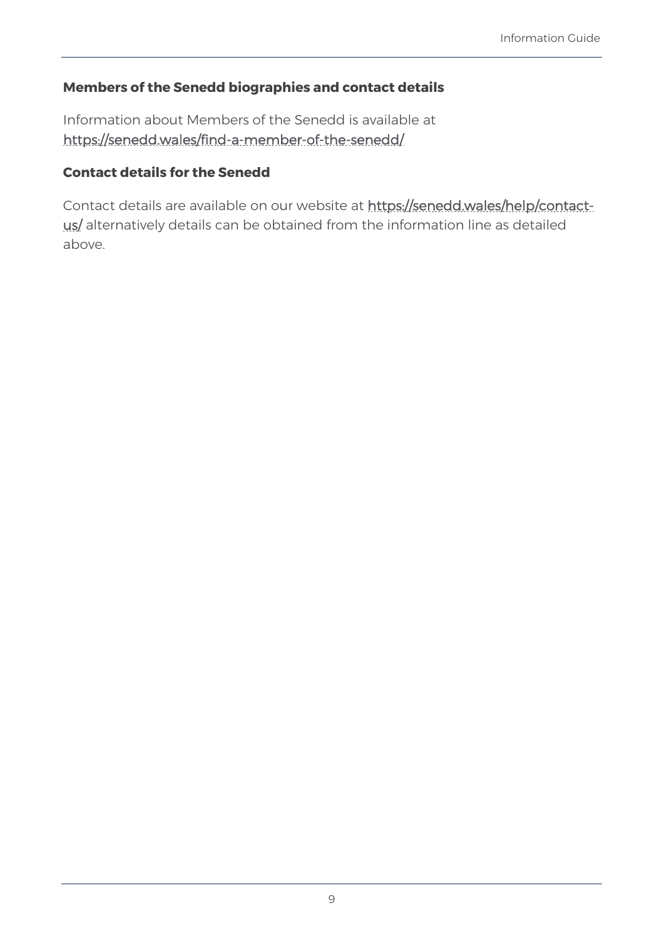#### **Members of the Senedd biographies and contact details**

Information about Members of the Senedd is available at <https://senedd.wales/find-a-member-of-the-senedd/>

#### **Contact details for the Senedd**

Contact details are available on our website at [https://senedd.wales/help/contact](https://senedd.wales/help/contact-us/)[us/](https://senedd.wales/help/contact-us/) alternatively details can be obtained from the information line as detailed above.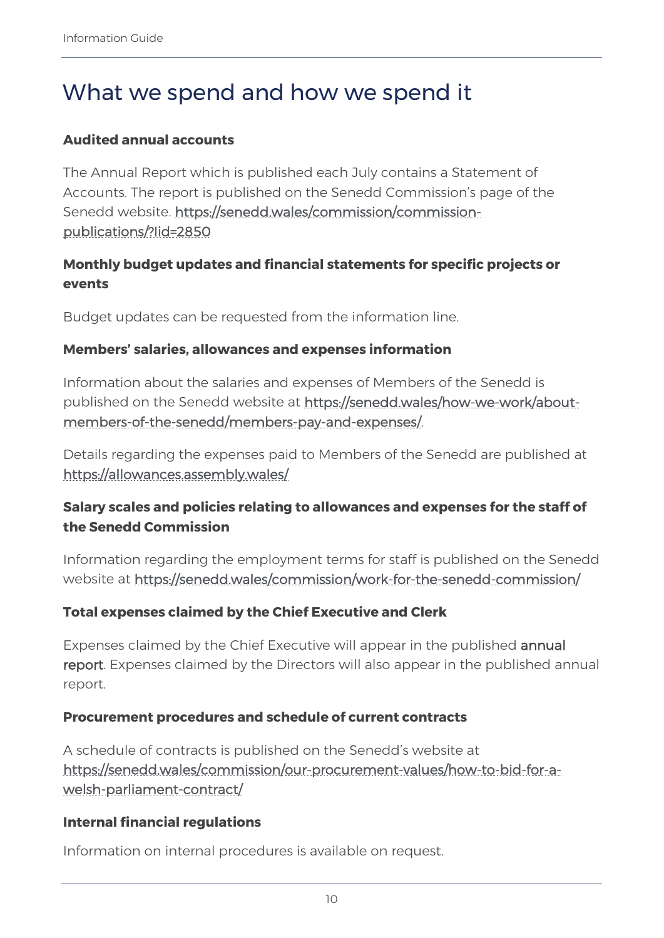# <span id="page-9-0"></span>What we spend and how we spend it

#### **Audited annual accounts**

The Annual Report which is published each July contains a Statement of Accounts. The report is published on the Senedd Commission's page of the Senedd website. [https://senedd.wales/commission/commission](https://senedd.wales/commission/commission-publications/?Iid=2850)[publications/?Iid=2850](https://senedd.wales/commission/commission-publications/?Iid=2850)

#### **Monthly budget updates and financial statements for specific projects or events**

Budget updates can be requested from the information line.

#### **Members' salaries, allowances and expenses information**

Information about the salaries and expenses of Members of the Senedd is published on the Senedd website at [https://senedd.wales/how-we-work/about](https://senedd.wales/how-we-work/about-members-of-the-senedd/members-pay-and-expenses/)[members-of-the-senedd/members-pay-and-expenses/.](https://senedd.wales/how-we-work/about-members-of-the-senedd/members-pay-and-expenses/)

Details regarding the expenses paid to Members of the Senedd are published at <https://allowances.assembly.wales/>

#### **Salary scales and policies relating to allowances and expenses for the staff of the Senedd Commission**

Information regarding the employment terms for staff is published on the Senedd website at <https://senedd.wales/commission/work-for-the-senedd-commission/>

#### **Total expenses claimed by the Chief Executive and Clerk**

Expenses claimed by the Chief Executive will appear in the published [annual](https://senedd.wales/commission/commission-publications/?Iid=2850)  [report.](https://senedd.wales/commission/commission-publications/?Iid=2850) Expenses claimed by the Directors will also appear in the published annual report.

#### **Procurement procedures and schedule of current contracts**

A schedule of contracts is published on the Senedd's website at [https://senedd.wales/commission/our-procurement-values/how-to-bid-for-a](https://senedd.wales/commission/our-procurement-values/how-to-bid-for-a-welsh-parliament-contract/)[welsh-parliament-contract/](https://senedd.wales/commission/our-procurement-values/how-to-bid-for-a-welsh-parliament-contract/)

#### **Internal financial regulations**

Information on internal procedures is available on request.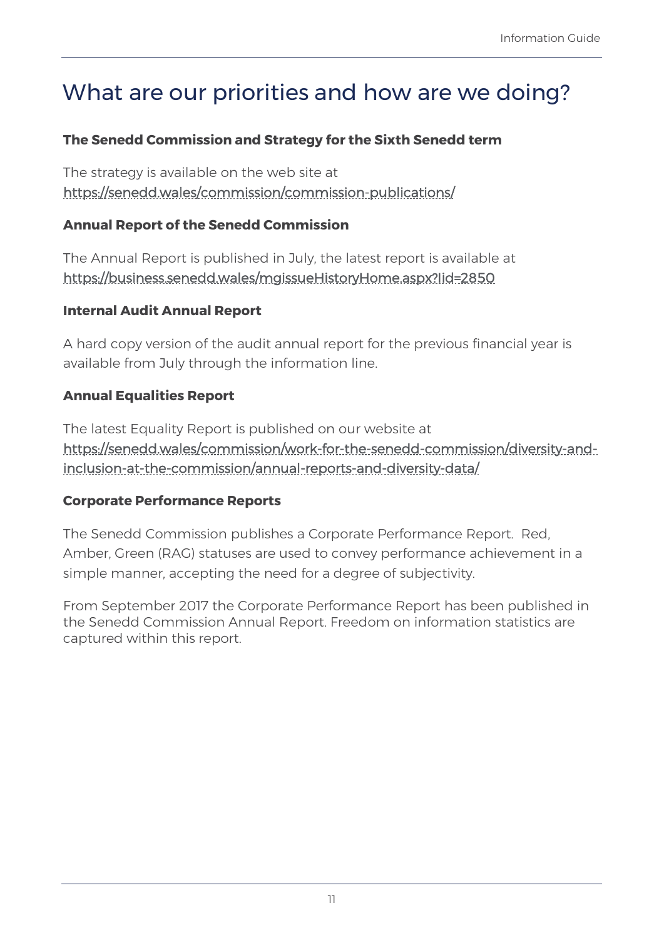# <span id="page-10-0"></span>What are our priorities and how are we doing?

#### **The Senedd Commission and Strategy for the Sixth Senedd term**

The strategy is available on the web site at <https://senedd.wales/commission/commission-publications/>

#### **Annual Report of the Senedd Commission**

The Annual Report is published in July, the latest report is available at <https://business.senedd.wales/mgissueHistoryHome.aspx?Iid=2850>

#### **Internal Audit Annual Report**

A hard copy version of the audit annual report for the previous financial year is available from July through the information line.

#### **Annual Equalities Report**

The latest Equality Report is published on our website at [https://senedd.wales/commission/work-for-the-senedd-commission/diversity-and](https://senedd.wales/commission/work-for-the-senedd-commission/diversity-and-inclusion-at-the-commission/annual-reports-and-diversity-data/)[inclusion-at-the-commission/annual-reports-and-diversity-data/](https://senedd.wales/commission/work-for-the-senedd-commission/diversity-and-inclusion-at-the-commission/annual-reports-and-diversity-data/)

#### **Corporate Performance Reports**

The Senedd Commission publishes a Corporate Performance Report. Red, Amber, Green (RAG) statuses are used to convey performance achievement in a simple manner, accepting the need for a degree of subjectivity.

From September 2017 the Corporate Performance Report has been published in the Senedd Commission Annual Report. Freedom on information statistics are captured within this report.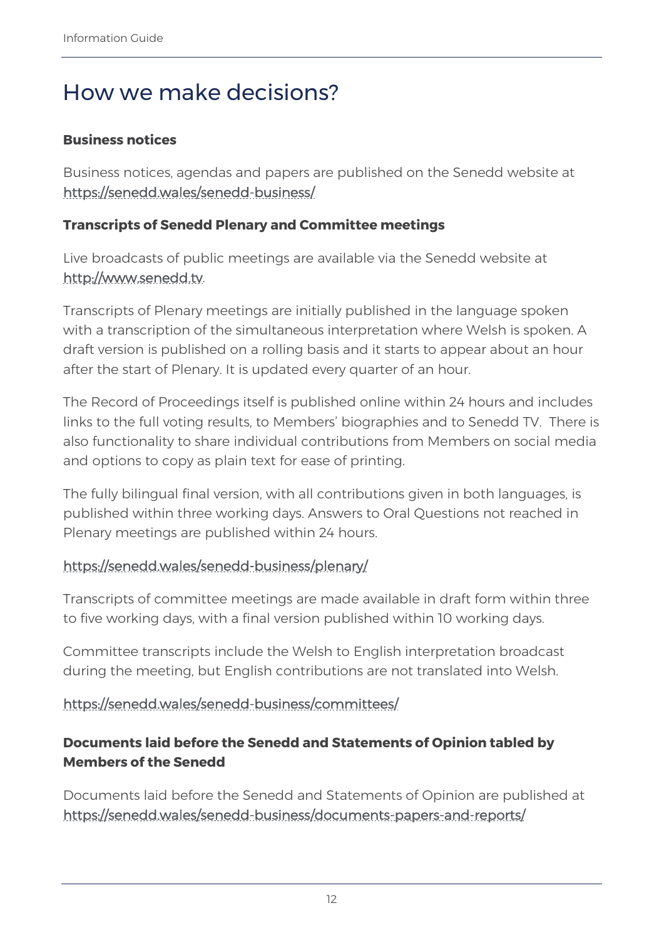# <span id="page-11-0"></span>How we make decisions?

#### **Business notices**

Business notices, agendas and papers are published on the Senedd website at <https://senedd.wales/senedd-business/>

#### **Transcripts of Senedd Plenary and Committee meetings**

Live broadcasts of public meetings are available via the Senedd website at [http://www.senedd.tv.](http://www.senedd.tv/) 

Transcripts of Plenary meetings are initially published in the language spoken with a transcription of the simultaneous interpretation where Welsh is spoken. A draft version is published on a rolling basis and it starts to appear about an hour after the start of Plenary. It is updated every quarter of an hour.

The Record of Proceedings itself is published online within 24 hours and includes links to the full voting results, to Members' biographies and to Senedd TV. There is also functionality to share individual contributions from Members on social media and options to copy as plain text for ease of printing.

The fully bilingual final version, with all contributions given in both languages, is published within three working days. Answers to Oral Questions not reached in Plenary meetings are published within 24 hours.

#### <https://senedd.wales/senedd-business/plenary/>

Transcripts of committee meetings are made available in draft form within three to five working days, with a final version published within 10 working days.

Committee transcripts include the Welsh to English interpretation broadcast during the meeting, but English contributions are not translated into Welsh.

#### <https://senedd.wales/senedd-business/committees/>

### **Documents laid before the Senedd and Statements of Opinion tabled by Members of the Senedd**

Documents laid before the Senedd and Statements of Opinion are published at <https://senedd.wales/senedd-business/documents-papers-and-reports/>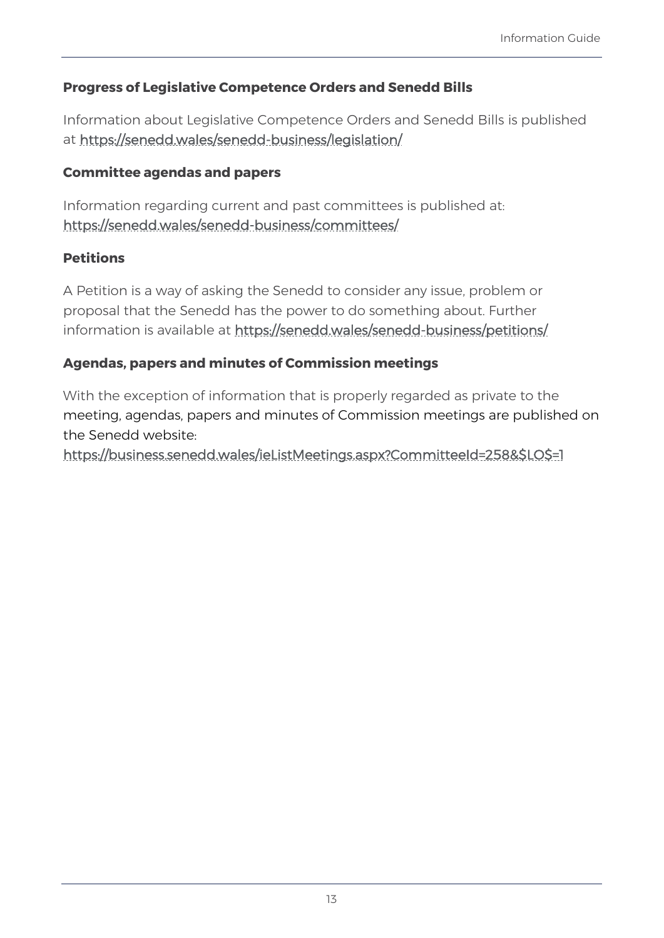### **Progress of Legislative Competence Orders and Senedd Bills**

Information about Legislative Competence Orders and Senedd Bills is published at<https://senedd.wales/senedd-business/legislation/>

#### **Committee agendas and papers**

Information regarding current and past committees is published a[t:](https://senedd.wales/senedd-business/committees/)  <https://senedd.wales/senedd-business/committees/>

#### **Petitions**

A Petition is a way of asking the Senedd to consider any issue, problem or proposal that the Senedd has the power to do something about. Further information is available at <https://senedd.wales/senedd-business/petitions/>

#### **Agendas, papers and minutes of Commission meetings**

With the exception of information that is properly regarded as private to the meeting, agendas, papers and minutes of Commission meetings are published on the Senedd website:

[https://business.senedd.wales/ieListMeetings.aspx?CommitteeId=258&\\$LO\\$=1](https://business.senedd.wales/ieListMeetings.aspx?CommitteeId=258&$LO$=1)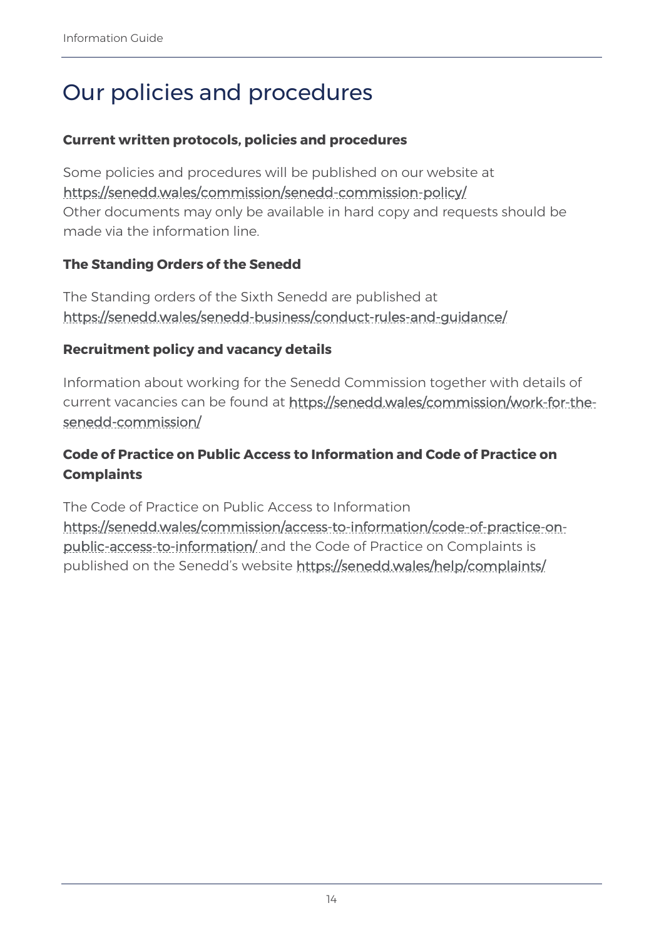# <span id="page-13-0"></span>Our policies and procedures

#### **Current written protocols, policies and procedures**

Some policies and procedures will be published on our website at <https://senedd.wales/commission/senedd-commission-policy/> Other documents may only be available in hard copy and requests should be made via the information line.

#### **The Standing Orders of the Senedd**

The Standing orders of the Sixth Senedd are published at <https://senedd.wales/senedd-business/conduct-rules-and-guidance/>

#### **Recruitment policy and vacancy details**

Information about working for the Senedd Commission together with details of current vacancies can be found at [https://senedd.wales/commission/work-for-the](https://senedd.wales/commission/work-for-the-senedd-commission/)[senedd-commission/](https://senedd.wales/commission/work-for-the-senedd-commission/)

### **Code of Practice on Public Access to Information and Code of Practice on Complaints**

The Code of Practice on Public Access to Information

[https://senedd.wales/commission/access-to-information/code-of-practice-on](https://senedd.wales/commission/access-to-information/code-of-practice-on-public-access-to-information/)[public-access-to-information/](https://senedd.wales/commission/access-to-information/code-of-practice-on-public-access-to-information/) and the Code of Practice on Complaints is published on the Senedd's website<https://senedd.wales/help/complaints/>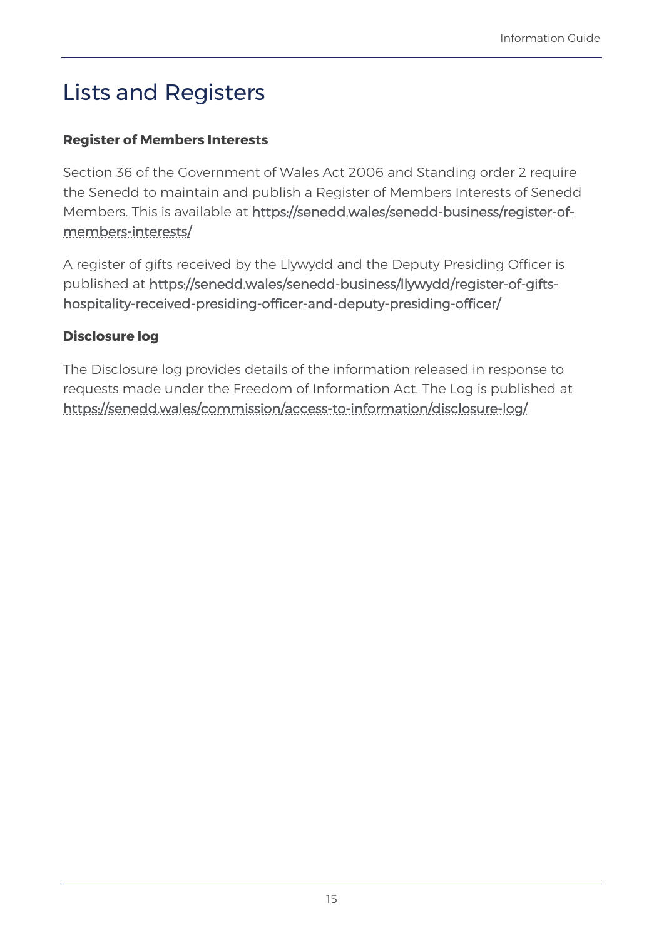# <span id="page-14-0"></span>Lists and Registers

### **Register of Members Interests**

Section 36 of the Government of Wales Act 2006 and Standing order 2 require the Senedd to maintain and publish a Register of Members Interests of Senedd Members. This is available at [https://senedd.wales/senedd-business/register-of](https://senedd.wales/senedd-business/register-of-members-interests/)[members-interests/](https://senedd.wales/senedd-business/register-of-members-interests/)

A register of gifts received by the Llywydd and the Deputy Presiding Officer is published at [https://senedd.wales/senedd-business/llywydd/register-of-gifts](https://senedd.wales/senedd-business/llywydd/register-of-gifts-hospitality-received-presiding-officer-and-deputy-presiding-officer/)[hospitality-received-presiding-officer-and-deputy-presiding-officer/](https://senedd.wales/senedd-business/llywydd/register-of-gifts-hospitality-received-presiding-officer-and-deputy-presiding-officer/)

#### **Disclosure log**

The Disclosure log provides details of the information released in response to requests made under the Freedom of Information Act. The Log is published at <https://senedd.wales/commission/access-to-information/disclosure-log/>